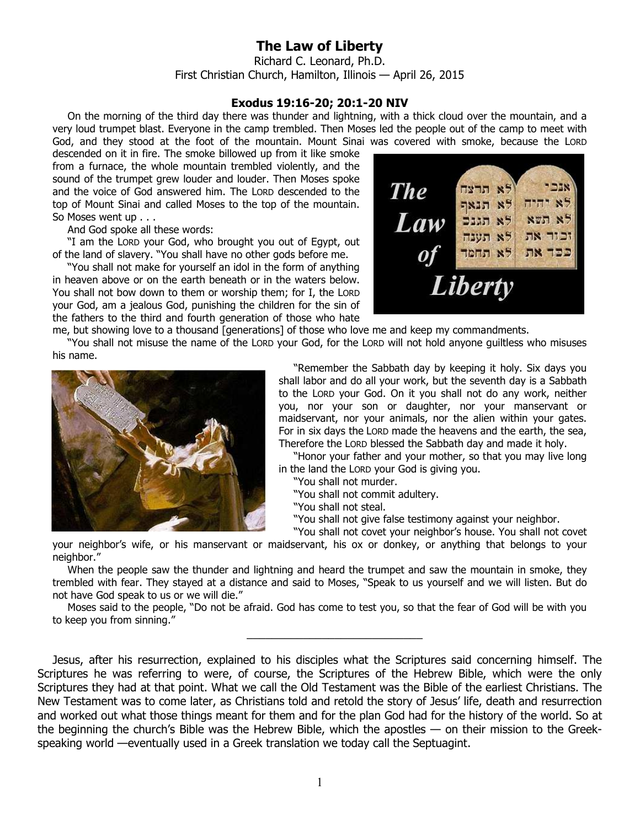## **The Law of Liberty**

Richard C. Leonard, Ph.D. First Christian Church, Hamilton, Illinois — April 26, 2015

## **Exodus 19:16-20; 20:1-20 NIV**

On the morning of the third day there was thunder and lightning, with a thick cloud over the mountain, and a very loud trumpet blast. Everyone in the camp trembled. Then Moses led the people out of the camp to meet with God, and they stood at the foot of the mountain. Mount Sinai was covered with smoke, because the LORD

descended on it in fire. The smoke billowed up from it like smoke from a furnace, the whole mountain trembled violently, and the sound of the trumpet grew louder and louder. Then Moses spoke and the voice of God answered him. The LORD descended to the top of Mount Sinai and called Moses to the top of the mountain. So Moses went up . . .

And God spoke all these words:

"I am the LORD your God, who brought you out of Egypt, out of the land of slavery. "You shall have no other gods before me.

"You shall not make for yourself an idol in the form of anything in heaven above or on the earth beneath or in the waters below. You shall not bow down to them or worship them; for I, the LORD your God, am a jealous God, punishing the children for the sin of the fathers to the third and fourth generation of those who hate



me, but showing love to a thousand [generations] of those who love me and keep my commandments.

"You shall not misuse the name of the LORD your God, for the LORD will not hold anyone guiltless who misuses his name.



"Remember the Sabbath day by keeping it holy. Six days you shall labor and do all your work, but the seventh day is a Sabbath to the LORD your God. On it you shall not do any work, neither you, nor your son or daughter, nor your manservant or maidservant, nor your animals, nor the alien within your gates. For in six days the LORD made the heavens and the earth, the sea, Therefore the LORD blessed the Sabbath day and made it holy.

"Honor your father and your mother, so that you may live long in the land the LORD your God is giving you.

"You shall not murder.

"You shall not commit adultery.

"You shall not steal.

"You shall not give false testimony against your neighbor.

"You shall not covet your neighbor's house. You shall not covet your neighbor's wife, or his manservant or maidservant, his ox or donkey, or anything that belongs to your neighbor."

When the people saw the thunder and lightning and heard the trumpet and saw the mountain in smoke, they trembled with fear. They stayed at a distance and said to Moses, "Speak to us yourself and we will listen. But do not have God speak to us or we will die."

Moses said to the people, "Do not be afraid. God has come to test you, so that the fear of God will be with you to keep you from sinning."

\_\_\_\_\_\_\_\_\_\_\_\_\_\_\_\_\_\_\_\_\_\_\_\_\_\_\_\_

Jesus, after his resurrection, explained to his disciples what the Scriptures said concerning himself. The Scriptures he was referring to were, of course, the Scriptures of the Hebrew Bible, which were the only Scriptures they had at that point. What we call the Old Testament was the Bible of the earliest Christians. The New Testament was to come later, as Christians told and retold the story of Jesus' life, death and resurrection and worked out what those things meant for them and for the plan God had for the history of the world. So at the beginning the church's Bible was the Hebrew Bible, which the apostles — on their mission to the Greekspeaking world —eventually used in a Greek translation we today call the Septuagint.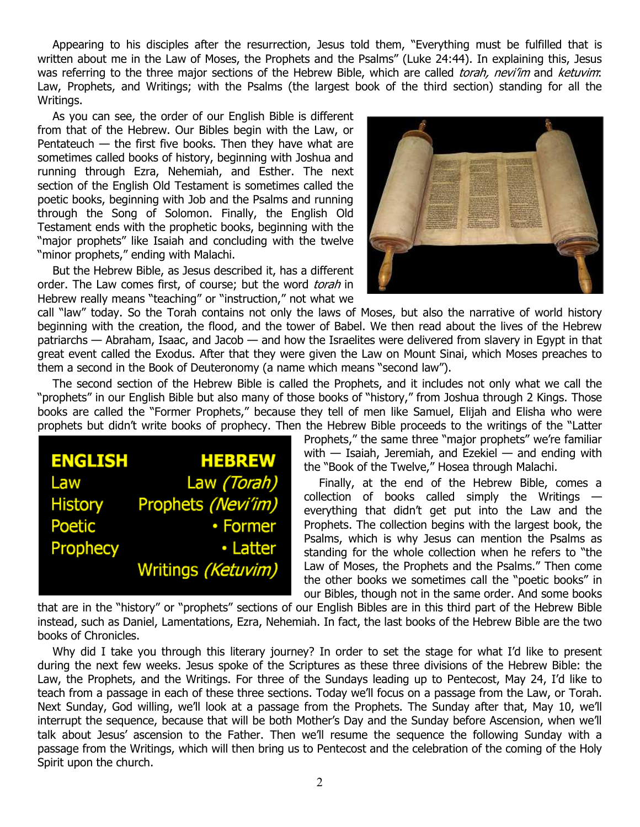Appearing to his disciples after the resurrection, Jesus told them, "Everything must be fulfilled that is written about me in the Law of Moses, the Prophets and the Psalms" (Luke 24:44). In explaining this, Jesus was referring to the three major sections of the Hebrew Bible, which are called torah, nevi'im and ketuvim: Law, Prophets, and Writings; with the Psalms (the largest book of the third section) standing for all the Writings.

As you can see, the order of our English Bible is different from that of the Hebrew. Our Bibles begin with the Law, or Pentateuch  $-$  the first five books. Then they have what are sometimes called books of history, beginning with Joshua and running through Ezra, Nehemiah, and Esther. The next section of the English Old Testament is sometimes called the poetic books, beginning with Job and the Psalms and running through the Song of Solomon. Finally, the English Old Testament ends with the prophetic books, beginning with the "major prophets" like Isaiah and concluding with the twelve "minor prophets," ending with Malachi.

But the Hebrew Bible, as Jesus described it, has a different order. The Law comes first, of course; but the word torah in Hebrew really means "teaching" or "instruction," not what we



call "law" today. So the Torah contains not only the laws of Moses, but also the narrative of world history beginning with the creation, the flood, and the tower of Babel. We then read about the lives of the Hebrew patriarchs — Abraham, Isaac, and Jacob — and how the Israelites were delivered from slavery in Egypt in that great event called the Exodus. After that they were given the Law on Mount Sinai, which Moses preaches to them a second in the Book of Deuteronomy (a name which means "second law").

The second section of the Hebrew Bible is called the Prophets, and it includes not only what we call the "prophets" in our English Bible but also many of those books of "history," from Joshua through 2 Kings. Those books are called the "Former Prophets," because they tell of men like Samuel, Elijah and Elisha who were prophets but didn't write books of prophecy. Then the Hebrew Bible proceeds to the writings of the "Latter

| <b>ENGLISH</b> | <b>HEBREW</b>      |
|----------------|--------------------|
| Law            | Law (Torah)        |
| <b>History</b> | Prophets (Nevi'im) |
| Poetic         | • Former           |
| Prophecy       | • Latter           |
|                | Writings (Ketuvim) |

Prophets," the same three "major prophets" we're familiar with  $-$  Isaiah, Jeremiah, and Ezekiel  $-$  and ending with the "Book of the Twelve," Hosea through Malachi.

Finally, at the end of the Hebrew Bible, comes a collection of books called simply the Writings everything that didn't get put into the Law and the Prophets. The collection begins with the largest book, the Psalms, which is why Jesus can mention the Psalms as standing for the whole collection when he refers to "the Law of Moses, the Prophets and the Psalms." Then come the other books we sometimes call the "poetic books" in our Bibles, though not in the same order. And some books

that are in the "history" or "prophets" sections of our English Bibles are in this third part of the Hebrew Bible instead, such as Daniel, Lamentations, Ezra, Nehemiah. In fact, the last books of the Hebrew Bible are the two books of Chronicles.

Why did I take you through this literary journey? In order to set the stage for what I'd like to present during the next few weeks. Jesus spoke of the Scriptures as these three divisions of the Hebrew Bible: the Law, the Prophets, and the Writings. For three of the Sundays leading up to Pentecost, May 24, I'd like to teach from a passage in each of these three sections. Today we'll focus on a passage from the Law, or Torah. Next Sunday, God willing, we'll look at a passage from the Prophets. The Sunday after that, May 10, we'll interrupt the sequence, because that will be both Mother's Day and the Sunday before Ascension, when we'll talk about Jesus' ascension to the Father. Then we'll resume the sequence the following Sunday with a passage from the Writings, which will then bring us to Pentecost and the celebration of the coming of the Holy Spirit upon the church.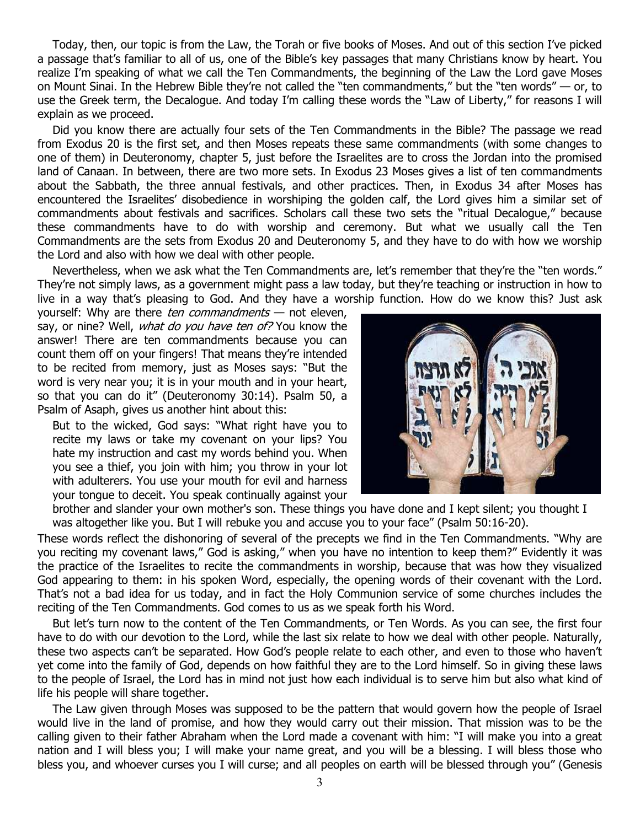Today, then, our topic is from the Law, the Torah or five books of Moses. And out of this section I've picked a passage that's familiar to all of us, one of the Bible's key passages that many Christians know by heart. You realize I'm speaking of what we call the Ten Commandments, the beginning of the Law the Lord gave Moses on Mount Sinai. In the Hebrew Bible they're not called the "ten commandments," but the "ten words" — or, to use the Greek term, the Decalogue. And today I'm calling these words the "Law of Liberty," for reasons I will explain as we proceed.

Did you know there are actually four sets of the Ten Commandments in the Bible? The passage we read from Exodus 20 is the first set, and then Moses repeats these same commandments (with some changes to one of them) in Deuteronomy, chapter 5, just before the Israelites are to cross the Jordan into the promised land of Canaan. In between, there are two more sets. In Exodus 23 Moses gives a list of ten commandments about the Sabbath, the three annual festivals, and other practices. Then, in Exodus 34 after Moses has encountered the Israelites' disobedience in worshiping the golden calf, the Lord gives him a similar set of commandments about festivals and sacrifices. Scholars call these two sets the "ritual Decalogue," because these commandments have to do with worship and ceremony. But what we usually call the Ten Commandments are the sets from Exodus 20 and Deuteronomy 5, and they have to do with how we worship the Lord and also with how we deal with other people.

Nevertheless, when we ask what the Ten Commandments are, let's remember that they're the "ten words." They're not simply laws, as a government might pass a law today, but they're teaching or instruction in how to live in a way that's pleasing to God. And they have a worship function. How do we know this? Just ask

yourself: Why are there ten commandments  $-$  not eleven, say, or nine? Well, *what do you have ten of?* You know the answer! There are ten commandments because you can count them off on your fingers! That means they're intended to be recited from memory, just as Moses says: "But the word is very near you; it is in your mouth and in your heart, so that you can do it" (Deuteronomy 30:14). Psalm 50, a Psalm of Asaph, gives us another hint about this:

But to the wicked, God says: "What right have you to recite my laws or take my covenant on your lips? You hate my instruction and cast my words behind you. When you see a thief, you join with him; you throw in your lot with adulterers. You use your mouth for evil and harness your tongue to deceit. You speak continually against your



brother and slander your own mother's son. These things you have done and I kept silent; you thought I was altogether like you. But I will rebuke you and accuse you to your face" (Psalm 50:16-20).

These words reflect the dishonoring of several of the precepts we find in the Ten Commandments. "Why are you reciting my covenant laws," God is asking," when you have no intention to keep them?" Evidently it was the practice of the Israelites to recite the commandments in worship, because that was how they visualized God appearing to them: in his spoken Word, especially, the opening words of their covenant with the Lord. That's not a bad idea for us today, and in fact the Holy Communion service of some churches includes the reciting of the Ten Commandments. God comes to us as we speak forth his Word.

But let's turn now to the content of the Ten Commandments, or Ten Words. As you can see, the first four have to do with our devotion to the Lord, while the last six relate to how we deal with other people. Naturally, these two aspects can't be separated. How God's people relate to each other, and even to those who haven't yet come into the family of God, depends on how faithful they are to the Lord himself. So in giving these laws to the people of Israel, the Lord has in mind not just how each individual is to serve him but also what kind of life his people will share together.

The Law given through Moses was supposed to be the pattern that would govern how the people of Israel would live in the land of promise, and how they would carry out their mission. That mission was to be the calling given to their father Abraham when the Lord made a covenant with him: "I will make you into a great nation and I will bless you; I will make your name great, and you will be a blessing. I will bless those who bless you, and whoever curses you I will curse; and all peoples on earth will be blessed through you" (Genesis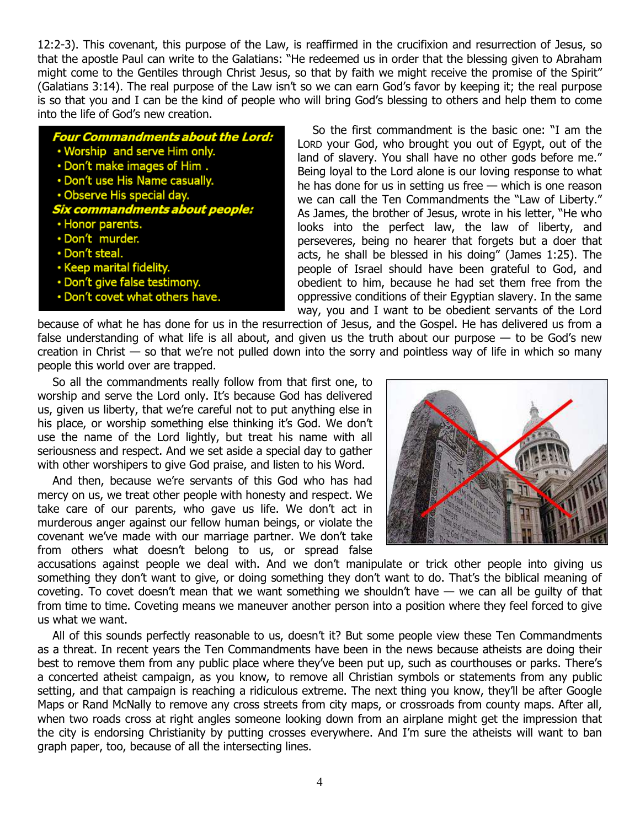12:2-3). This covenant, this purpose of the Law, is reaffirmed in the crucifixion and resurrection of Jesus, so that the apostle Paul can write to the Galatians: "He redeemed us in order that the blessing given to Abraham might come to the Gentiles through Christ Jesus, so that by faith we might receive the promise of the Spirit" (Galatians 3:14). The real purpose of the Law isn't so we can earn God's favor by keeping it; the real purpose is so that you and I can be the kind of people who will bring God's blessing to others and help them to come into the life of God's new creation.

Four Commandments about the Lord: . Worship and serve Him only. . Don't make images of Him. . Don't use His Name casually. · Observe His special day. Six commandments ab out peopl • Honor parents. · Don't murder. · Don't steal. · Keep marital fidelity. · Don't give false testimony. . Don't covet what others have.

So the first commandment is the basic one: "I am the LORD your God, who brought you out of Egypt, out of the land of slavery. You shall have no other gods before me." Being loyal to the Lord alone is our loving response to what he has done for us in setting us free — which is one reason we can call the Ten Commandments the "Law of Liberty." As James, the brother of Jesus, wrote in his letter, "He who looks into the perfect law, the law of liberty, and perseveres, being no hearer that forgets but a doer that acts, he shall be blessed in his doing" (James 1:25). The people of Israel should have been grateful to God, and obedient to him, because he had set them free from the oppressive conditions of their Egyptian slavery. In the same way, you and I want to be obedient servants of the Lord

because of what he has done for us in the resurrection of Jesus, and the Gospel. He has delivered us from a false understanding of what life is all about, and given us the truth about our purpose  $-$  to be God's new creation in Christ — so that we're not pulled down into the sorry and pointless way of life in which so many people this world over are trapped.

So all the commandments really follow from that first one, to worship and serve the Lord only. It's because God has delivered us, given us liberty, that we're careful not to put anything else in his place, or worship something else thinking it's God. We don't use the name of the Lord lightly, but treat his name with all seriousness and respect. And we set aside a special day to gather with other worshipers to give God praise, and listen to his Word.

And then, because we're servants of this God who has had mercy on us, we treat other people with honesty and respect. We take care of our parents, who gave us life. We don't act in murderous anger against our fellow human beings, or violate the covenant we've made with our marriage partner. We don't take from others what doesn't belong to us, or spread false



accusations against people we deal with. And we don't manipulate or trick other people into giving us something they don't want to give, or doing something they don't want to do. That's the biblical meaning of coveting. To covet doesn't mean that we want something we shouldn't have  $-$  we can all be quilty of that from time to time. Coveting means we maneuver another person into a position where they feel forced to give us what we want.

All of this sounds perfectly reasonable to us, doesn't it? But some people view these Ten Commandments as a threat. In recent years the Ten Commandments have been in the news because atheists are doing their best to remove them from any public place where they've been put up, such as courthouses or parks. There's a concerted atheist campaign, as you know, to remove all Christian symbols or statements from any public setting, and that campaign is reaching a ridiculous extreme. The next thing you know, they'll be after Google Maps or Rand McNally to remove any cross streets from city maps, or crossroads from county maps. After all, when two roads cross at right angles someone looking down from an airplane might get the impression that the city is endorsing Christianity by putting crosses everywhere. And I'm sure the atheists will want to ban graph paper, too, because of all the intersecting lines.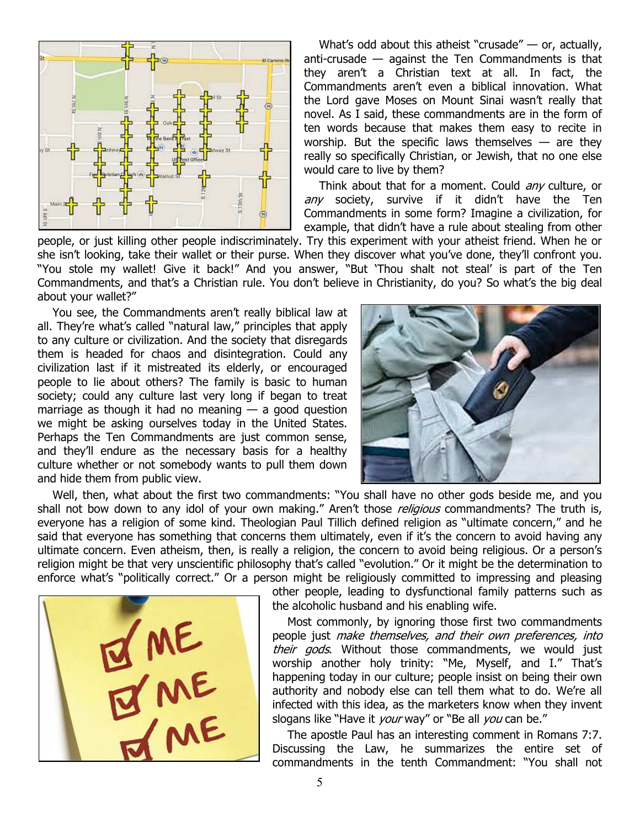

What's odd about this atheist "crusade" — or, actually, anti-crusade — against the Ten Commandments is that they aren't a Christian text at all. In fact, the Commandments aren't even a biblical innovation. What the Lord gave Moses on Mount Sinai wasn't really that novel. As I said, these commandments are in the form of ten words because that makes them easy to recite in worship. But the specific laws themselves  $-$  are they really so specifically Christian, or Jewish, that no one else would care to live by them?

Think about that for a moment. Could *any* culture, or any society, survive if it didn't have the Ten Commandments in some form? Imagine a civilization, for example, that didn't have a rule about stealing from other

people, or just killing other people indiscriminately. Try this experiment with your atheist friend. When he or she isn't looking, take their wallet or their purse. When they discover what you've done, they'll confront you. "You stole my wallet! Give it back!" And you answer, "But 'Thou shalt not steal' is part of the Ten Commandments, and that's a Christian rule. You don't believe in Christianity, do you? So what's the big deal about your wallet?"

You see, the Commandments aren't really biblical law at all. They're what's called "natural law," principles that apply to any culture or civilization. And the society that disregards them is headed for chaos and disintegration. Could any civilization last if it mistreated its elderly, or encouraged people to lie about others? The family is basic to human society; could any culture last very long if began to treat marriage as though it had no meaning  $-$  a good question we might be asking ourselves today in the United States. Perhaps the Ten Commandments are just common sense, and they'll endure as the necessary basis for a healthy culture whether or not somebody wants to pull them down and hide them from public view.



Well, then, what about the first two commandments: "You shall have no other gods beside me, and you shall not bow down to any idol of your own making." Aren't those *religious* commandments? The truth is, everyone has a religion of some kind. Theologian Paul Tillich defined religion as "ultimate concern," and he said that everyone has something that concerns them ultimately, even if it's the concern to avoid having any ultimate concern. Even atheism, then, is really a religion, the concern to avoid being religious. Or a person's religion might be that very unscientific philosophy that's called "evolution." Or it might be the determination to enforce what's "politically correct." Or a person might be religiously committed to impressing and pleasing



other people, leading to dysfunctional family patterns such as the alcoholic husband and his enabling wife.

Most commonly, by ignoring those first two commandments people just make themselves, and their own preferences, into their gods. Without those commandments, we would just worship another holy trinity: "Me, Myself, and I." That's happening today in our culture; people insist on being their own authority and nobody else can tell them what to do. We're all infected with this idea, as the marketers know when they invent slogans like "Have it *your* way" or "Be all *you* can be."

The apostle Paul has an interesting comment in Romans 7:7. Discussing the Law, he summarizes the entire set of commandments in the tenth Commandment: "You shall not